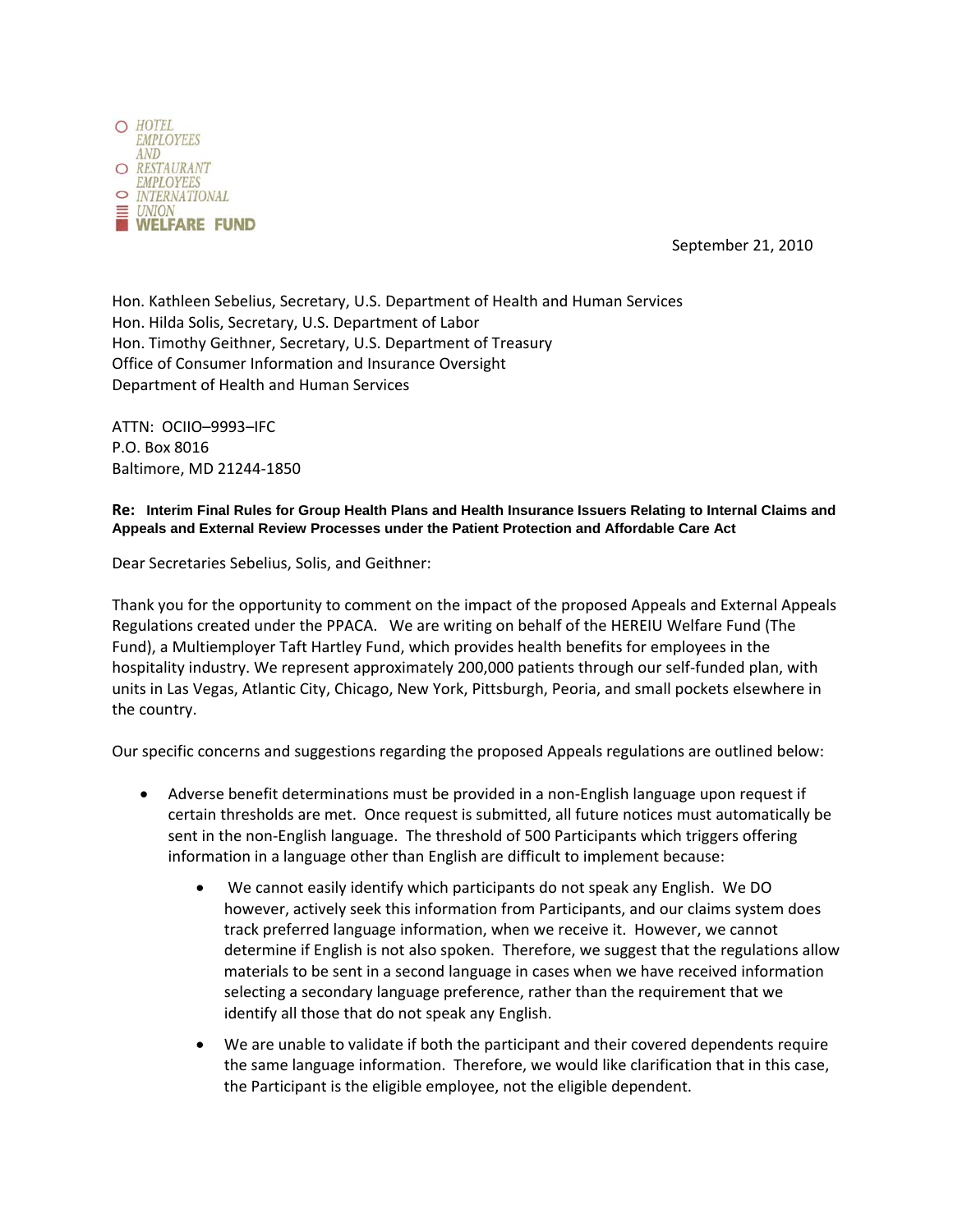

September 21, 2010

Hon. Kathleen Sebelius, Secretary, U.S. Department of Health and Human Services Hon. Hilda Solis, Secretary, U.S. Department of Labor Hon. Timothy Geithner, Secretary, U.S. Department of Treasury Office of Consumer Information and Insurance Oversight Department of Health and Human Services

ATTN: OCIIO–9993–IFC P.O. Box 8016 Baltimore, MD 21244‐1850

**Re: Interim Final Rules for Group Health Plans and Health Insurance Issuers Relating to Internal Claims and Appeals and External Review Processes under the Patient Protection and Affordable Care Act** 

Dear Secretaries Sebelius, Solis, and Geithner:

Thank you for the opportunity to comment on the impact of the proposed Appeals and External Appeals Regulations created under the PPACA. We are writing on behalf of the HEREIU Welfare Fund (The Fund), a Multiemployer Taft Hartley Fund, which provides health benefits for employees in the hospitality industry. We represent approximately 200,000 patients through our self-funded plan, with units in Las Vegas, Atlantic City, Chicago, New York, Pittsburgh, Peoria, and small pockets elsewhere in the country.

Our specific concerns and suggestions regarding the proposed Appeals regulations are outlined below:

- Adverse benefit determinations must be provided in a non-English language upon request if certain thresholds are met. Once request is submitted, all future notices must automatically be sent in the non-English language. The threshold of 500 Participants which triggers offering information in a language other than English are difficult to implement because:
	- We cannot easily identify which participants do not speak any English. We DO however, actively seek this information from Participants, and our claims system does track preferred language information, when we receive it. However, we cannot determine if English is not also spoken. Therefore, we suggest that the regulations allow materials to be sent in a second language in cases when we have received information selecting a secondary language preference, rather than the requirement that we identify all those that do not speak any English.
	- We are unable to validate if both the participant and their covered dependents require the same language information. Therefore, we would like clarification that in this case, the Participant is the eligible employee, not the eligible dependent.